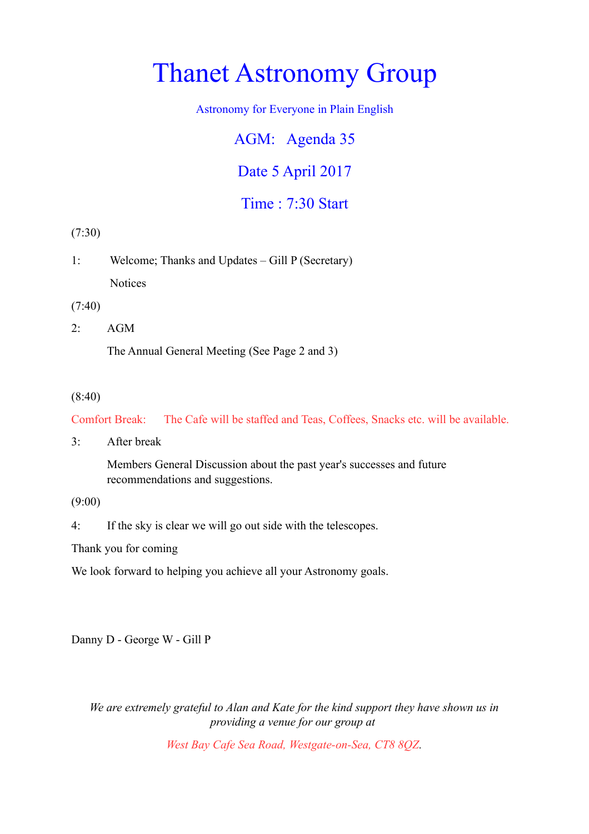# Thanet Astronomy Group

Astronomy for Everyone in Plain English

AGM: Agenda 35 Date 5 April 2017

Time : 7:30 Start

(7:30)

1: Welcome; Thanks and Updates – Gill P (Secretary) **Notices** 

(7:40)

2: AGM

The Annual General Meeting (See Page 2 and 3)

#### (8:40)

Comfort Break: The Cafe will be staffed and Teas, Coffees, Snacks etc. will be available.

3: After break

Members General Discussion about the past year's successes and future recommendations and suggestions.

(9:00)

4: If the sky is clear we will go out side with the telescopes.

Thank you for coming

We look forward to helping you achieve all your Astronomy goals.

Danny D - George W - Gill P

*We are extremely grateful to Alan and Kate for the kind support they have shown us in providing a venue for our group at* 

*West Bay Cafe Sea Road, Westgate-on-Sea, CT8 8QZ.*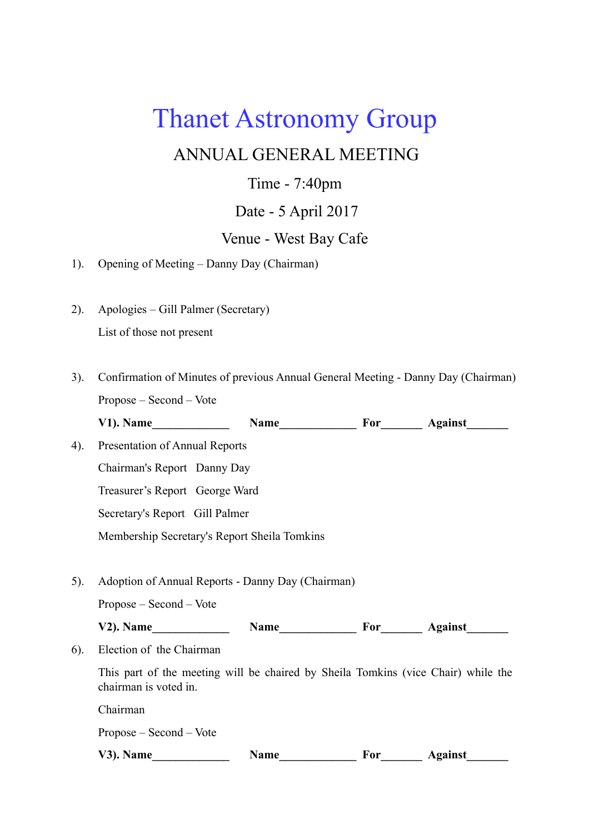## Thanet Astronomy Group

## ANNUAL GENERAL MEETING

## Time - 7:40pm

## Date - 5 April 2017

## Venue - West Bay Cafe

- 1). Opening of Meeting Danny Day (Chairman)
- 2). Apologies Gill Palmer (Secretary) List of those not present
- 3). Confirmation of Minutes of previous Annual General Meeting Danny Day (Chairman) Propose – Second – Vote V1). Name Name Name **Name Property Property** Against
- 4). Presentation of Annual Reports Chairman's Report Danny Day Treasurer's Report George Ward Secretary's Report Gill Palmer Membership Secretary's Report Sheila Tomkins
- 5). Adoption of Annual Reports Danny Day (Chairman)

Propose – Second – Vote

V2). Name Name Name For Against

6). Election of the Chairman

This part of the meeting will be chaired by Sheila Tomkins (vice Chair) while the chairman is voted in.

Chairman

Propose – Second – Vote

V3). Name Name Name **Name Property** *Name* **Property** *Against*